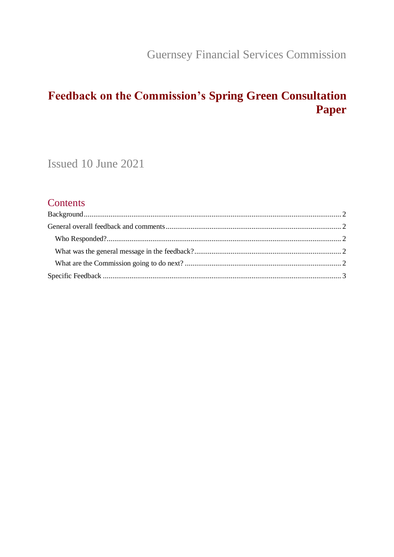**Guernsey Financial Services Commission** 

# Feedback on the Commission's Spring Green Consultation **Paper**

Issued 10 June 2021

### Contents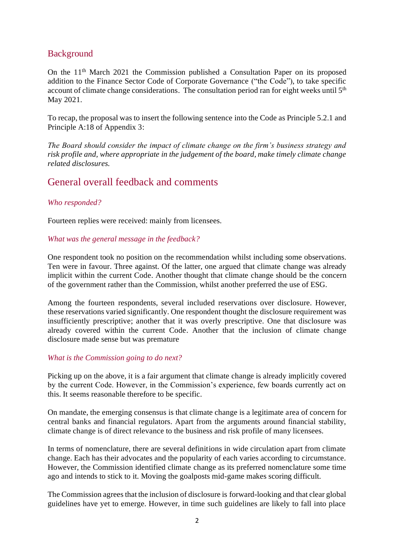### <span id="page-1-0"></span>Background

On the  $11<sup>th</sup>$  March 2021 the Commission published a Consultation Paper on its proposed addition to the Finance Sector Code of Corporate Governance ("the Code"), to take specific account of climate change considerations. The consultation period ran for eight weeks until  $5<sup>th</sup>$ May 2021.

To recap, the proposal was to insert the following sentence into the Code as Principle 5.2.1 and Principle A:18 of Appendix 3:

*The Board should consider the impact of climate change on the firm's business strategy and risk profile and, where appropriate in the judgement of the board, make timely climate change related disclosures.*

### <span id="page-1-1"></span>General overall feedback and comments

#### <span id="page-1-2"></span>*Who responded?*

Fourteen replies were received: mainly from licensees.

#### <span id="page-1-3"></span>*What was the general message in the feedback?*

One respondent took no position on the recommendation whilst including some observations. Ten were in favour. Three against. Of the latter, one argued that climate change was already implicit within the current Code. Another thought that climate change should be the concern of the government rather than the Commission, whilst another preferred the use of ESG.

Among the fourteen respondents, several included reservations over disclosure. However, these reservations varied significantly. One respondent thought the disclosure requirement was insufficiently prescriptive; another that it was overly prescriptive. One that disclosure was already covered within the current Code. Another that the inclusion of climate change disclosure made sense but was premature

#### <span id="page-1-4"></span>*What is the Commission going to do next?*

Picking up on the above, it is a fair argument that climate change is already implicitly covered by the current Code. However, in the Commission's experience, few boards currently act on this. It seems reasonable therefore to be specific.

On mandate, the emerging consensus is that climate change is a legitimate area of concern for central banks and financial regulators. Apart from the arguments around financial stability, climate change is of direct relevance to the business and risk profile of many licensees.

In terms of nomenclature, there are several definitions in wide circulation apart from climate change. Each has their advocates and the popularity of each varies according to circumstance. However, the Commission identified climate change as its preferred nomenclature some time ago and intends to stick to it. Moving the goalposts mid-game makes scoring difficult.

The Commission agrees that the inclusion of disclosure is forward-looking and that clear global guidelines have yet to emerge. However, in time such guidelines are likely to fall into place